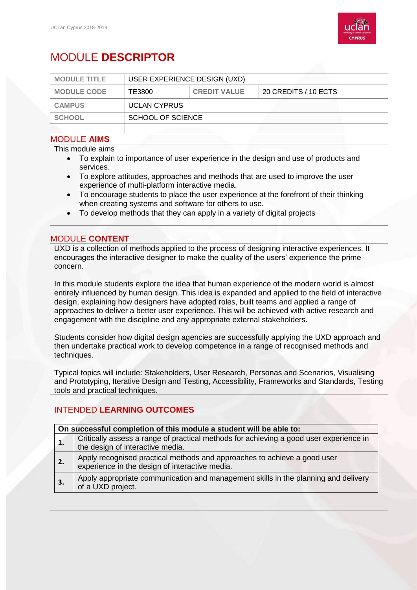

# MODULE **DESCRIPTOR**

| <b>MODULE TITLE</b> | USER EXPERIENCE DESIGN (UXD) |                     |                      |
|---------------------|------------------------------|---------------------|----------------------|
| <b>MODULE CODE</b>  | TE3800                       | <b>CREDIT VALUE</b> | 20 CREDITS / 10 ECTS |
| <b>CAMPUS</b>       | <b>UCLAN CYPRUS</b>          |                     |                      |
| <b>SCHOOL</b>       | SCHOOL OF SCIENCE            |                     |                      |
|                     |                              |                     |                      |

#### MODULE **AIMS**

This module aims

- To explain to importance of user experience in the design and use of products and services.
- To explore attitudes, approaches and methods that are used to improve the user experience of multi-platform interactive media.
- To encourage students to place the user experience at the forefront of their thinking when creating systems and software for others to use.
- To develop methods that they can apply in a variety of digital projects

#### MODULE **CONTENT**

UXD is a collection of methods applied to the process of designing interactive experiences. It encourages the interactive designer to make the quality of the users' experience the prime concern.

In this module students explore the idea that human experience of the modern world is almost entirely influenced by human design. This idea is expanded and applied to the field of interactive design, explaining how designers have adopted roles, built teams and applied a range of approaches to deliver a better user experience. This will be achieved with active research and engagement with the discipline and any appropriate external stakeholders.

Students consider how digital design agencies are successfully applying the UXD approach and then undertake practical work to develop competence in a range of recognised methods and techniques.

Typical topics will include: Stakeholders, User Research, Personas and Scenarios, Visualising and Prototyping, Iterative Design and Testing, Accessibility, Frameworks and Standards, Testing tools and practical techniques.

### INTENDED **LEARNING OUTCOMES**

| On successful completion of this module a student will be able to: |                                                                                                                            |  |  |
|--------------------------------------------------------------------|----------------------------------------------------------------------------------------------------------------------------|--|--|
| 1.                                                                 | Critically assess a range of practical methods for achieving a good user experience in<br>the design of interactive media. |  |  |
|                                                                    |                                                                                                                            |  |  |
| 2.                                                                 | Apply recognised practical methods and approaches to achieve a good user<br>experience in the design of interactive media. |  |  |
| $\overline{\mathbf{3}}$ .                                          | Apply appropriate communication and management skills in the planning and delivery<br>of a UXD project.                    |  |  |